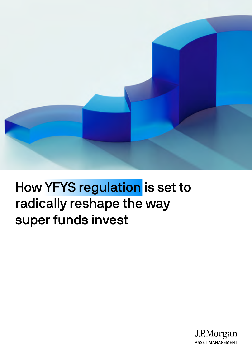

# How YFYS regulation is set to radically reshape the way super funds invest

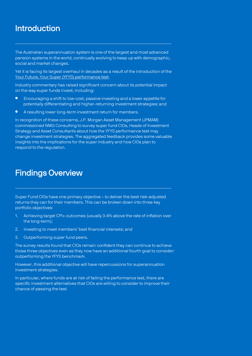## Introduction

The Australian superannuation system is one of the largest and most advanced pension systems in the world, continually evolving to keep up with demographic, social and market changes.

Yet it is facing its largest overhaul in decades as a result of the introduction of the [Your Future, Your Super \(YFYS\) performance test.](https://www.apra.gov.au/your-future-your-super-performance-test)

Industry commentary has raised significant concern about its potential impact on the way super funds invest, including:

- Encouraging a shift to low-cost, passive investing and a lower appetite for potentially differentiating and higher-returning investment strategies; and
- A resulting lower long-term investment return for members.

In recognition of these concerns, J.P. Morgan Asset Management (JPMAM) commissioned NMG Consulting to survey super fund CIOs, Heads of Investment Strategy and Asset Consultants about how the YFYS performance test may change investment strategies. The aggregated feedback provides some valuable insights into the implications for the super industry and how CIOs plan to respond to the regulation.

### Findings Overview

Super Fund CIOs have one primary objective – to deliver the best risk-adjusted returns they can for their members. This can be broken down into three key portfolio objectives:

- 1. Achieving target CPI+ outcomes (usually 3-4% above the rate of inflation over the long-term);
- 2. Investing to meet members' best financial interests; and
- 3. Outperforming super fund peers.

The survey results found that CIOs remain confident they can continue to achieve those three objectives even as they now have an additional fourth goal to consider: outperforming the YFYS benchmark.

However, this additional objective will have repercussions for superannuation investment strategies.

In particular, where funds are at risk of failing the performance test, there are specific investment alternatives that CIOs are willing to consider to improve their chance of passing the test.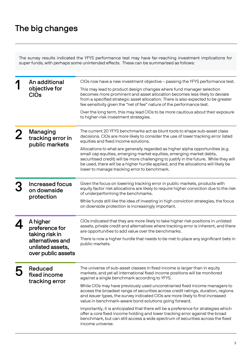# The big changes

The survey results indicated the YFYS performance test may have far-reaching investment implications for super funds, with perhaps some unintended effects. These can be summarised as follows:

|  | An additional<br>objective for<br><b>CIOs</b>              | CIOs now have a new investment objective – passing the YFYS performance test.                                                                                                                                                                                                                                                                                                          |
|--|------------------------------------------------------------|----------------------------------------------------------------------------------------------------------------------------------------------------------------------------------------------------------------------------------------------------------------------------------------------------------------------------------------------------------------------------------------|
|  |                                                            | This may lead to product design changes where fund manager selection<br>becomes more prominent and asset allocation becomes less likely to deviate<br>from a specified strategic asset allocation. There is also expected to be greater<br>fee sensitivity given the "net of fee" nature of the performance test.                                                                      |
|  |                                                            | Over the long term, this may lead CIOs to be more cautious about their exposure<br>to higher-risk investment strategies.                                                                                                                                                                                                                                                               |
|  | Managing<br>tracking error in<br>public markets            | The current 20 YFYS benchmarks act as blunt tools to shape sub-asset class<br>decisions. CIOs are more likely to consider the use of lower tracking error listed<br>equities and fixed income solutions.                                                                                                                                                                               |
|  |                                                            | Allocations to what are generally regarded as higher alpha opportunities (e.g.<br>small cap equities, emerging market equities, emerging market debts,<br>securitised credit) will be more challenging to justify in the future. While they will<br>be used, there will be a higher hurdle applied, and the allocations will likely be<br>lower to manage tracking error to benchmark. |
|  | <b>Increased focus</b><br>on downside<br>protection        | Given the focus on lowering tracking error in public markets, products with<br>equity factor risk allocations are likely to require higher conviction due to the risk<br>of underperforming the benchmarks.                                                                                                                                                                            |
|  |                                                            | While funds still like the idea of investing in high conviction strategies, the focus<br>on downside protection is increasingly important.                                                                                                                                                                                                                                             |
|  | A higher<br>preference for<br>taking risk in               | CIOs indicated that they are more likely to take higher risk positions in unlisted<br>assets, private credit and alternatives where tracking error is inherent, and there<br>are opportunities to add value over the benchmarks.                                                                                                                                                       |
|  | alternatives and<br>unlisted assets,<br>over public assets | There is now a higher hurdle that needs to be met to place any significant bets in<br>public markets.                                                                                                                                                                                                                                                                                  |
|  | Reduced<br>fixed income<br>tracking error                  | The universe of sub-asset classes in fixed income is larger than in equity<br>markets, and yet all international fixed income positions will be monitored<br>against a single benchmark according to YFYS.                                                                                                                                                                             |
|  |                                                            | While CIOs may have previously used unconstrained fixed income managers to<br>access the broadest range of securities across credit ratings, duration, regions<br>and issuer types, the survey indicated CIOs are more likely to find increased<br>value in benchmark-aware bond solutions going forward.                                                                              |
|  |                                                            | Importantly, it is anticipated that there will be a preference for strategies which<br>offer a core fixed income holding and lower tracking error against the broad<br>benchmark, but can still access a wide spectrum of securities across the fixed<br>income universe.                                                                                                              |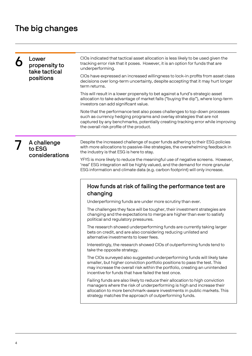# The big changes

|  | Lower<br>propensity to<br>take tactical<br>positions | CIOs indicated that tactical asset allocation is less likely to be used given the<br>tracking error risk that it poses. However, it is an option for funds that are<br>underperforming.                                                                                                   |
|--|------------------------------------------------------|-------------------------------------------------------------------------------------------------------------------------------------------------------------------------------------------------------------------------------------------------------------------------------------------|
|  |                                                      | CIOs have expressed an increased willingness to lock-in profits from asset class<br>decisions over long-term uncertainty, despite accepting that it may hurt longer<br>term returns.                                                                                                      |
|  |                                                      | This will result in a lower propensity to bet against a fund's strategic asset<br>allocation to take advantage of market falls ("buying the dip"), where long-term<br>investors can add significant value.                                                                                |
|  |                                                      | Note that the performance test also poses challenges to top-down processes<br>such as currency hedging programs and overlay strategies that are not<br>captured by any benchmarks, potentially creating tracking error while improving<br>the overall risk profile of the product.        |
|  | A challenge<br>to ESG<br>considerations              | Despite the increased challenge of super funds adhering to their ESG policies<br>with more allocations to passive-like strategies, the overwhelming feedback in<br>the industry is that ESG is here to stay.                                                                              |
|  |                                                      | YFYS is more likely to reduce the meaningful use of negative screens. However,<br>'real' ESG integration will be highly valued, and the demand for more granular<br>ESG information and climate data (e.g. carbon footprint) will only increase.                                          |
|  |                                                      | How funds at risk of failing the performance test are<br>changing                                                                                                                                                                                                                         |
|  |                                                      | Underperforming funds are under more scrutiny than ever.                                                                                                                                                                                                                                  |
|  |                                                      | The challenges they face will be tougher, their investment strategies are<br>changing and the expectations to merge are higher than ever to satisfy<br>political and regulatory pressures.                                                                                                |
|  |                                                      | The research showed underperforming funds are currently taking larger<br>bets on credit, and are also considering reducing unlisted and<br>alternative investments to lower fees.                                                                                                         |
|  |                                                      | Interestingly, the research showed CIOs of outperforming funds tend to<br>take the opposite strategy.                                                                                                                                                                                     |
|  |                                                      | The CIOs surveyed also suggested underperforming funds will likely take<br>smaller, but higher conviction portfolio positions to pass the test. This<br>may increase the overall risk within the portfolio, creating an unintended<br>incentive for funds that have failed the test once. |
|  |                                                      | Failing funds are also likely to reduce their allocation to high conviction<br>managers where the risk of underperforming is high and increase their<br>allocation to more benchmark-aware investments in public markets. This<br>strategy matches the approach of outperforming funds.   |
|  |                                                      |                                                                                                                                                                                                                                                                                           |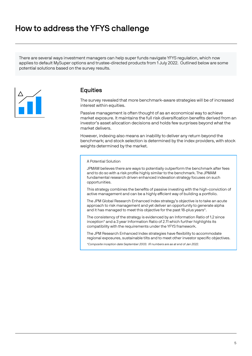# How to address the YFYS challenge

There are several ways investment managers can help super funds navigate YFYS regulation, which now applies to default MySuper options and trustee-directed products from 1 July 2022. Outlined below are some potential solutions based on the survey results.



### **Equities**

The survey revealed that more benchmark-aware strategies will be of increased interest within equities.

Passive management is often thought of as an economical way to achieve market exposure. It maintains the full risk diversification benefits derived from an investor's asset allocation decisions and holds few surprises beyond what the market delivers.

However, indexing also means an inability to deliver any return beyond the benchmark; and stock selection is determined by the index providers, with stock weights determined by the market.

#### A Potential Solution

JPMAM believes there are ways to potentially outperform the benchmark after fees and to do so with a risk profile highly similar to the benchmark. The JPMAM fundamental research driven enhanced indexation strategy focuses on such opportunities.

This strategy combines the benefits of passive investing with the high-conviction of active management and can be a highly efficient way of building a portfolio.

The JPM Global Research Enhanced Index strategy's objective is to take an acute approach to risk management and yet deliver an opportunity to generate alpha and it has managed to meet this objective for the past 18-plus years\*.

The consistency of the strategy is evidenced by an Information Ratio of 1.2 since inception\* and a 3 year Information Ratio of 2.11 which further highlights its compatibility with the requirements under the YFYS framework.

The JPM Research Enhanced Index strategies have flexibility to accommodate regional exposures, sustainable tilts and to meet other investor specific objectives.

\*Composite inception date September 2003. IR numbers are as at end of Jan 2022.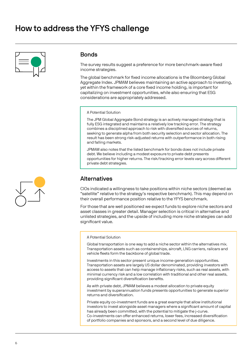# How to address the YFYS challenge



### **Bonds**

The survey results suggest a preference for more benchmark-aware fixed income strategies.

The global benchmark for fixed income allocations is the Bloomberg Global Aggregate Index. JPMAM believes maintaining an active approach to investing, yet within the framework of a core fixed income holding, is important for capitalizing on investment opportunities, while also ensuring that ESG considerations are appropriately addressed.

#### A Potential Solution

The JPM Global Aggregate Bond strategy is an actively managed strategy that is fully ESG integrated and maintains a relatively low tracking error. The strategy combines a disciplined approach to risk with diversified sources of returns, seeking to generate alpha from both security selection and sector allocation. The result has been strong risk-adjusted returns with outperformance in both rising and falling markets.

JPMAM also notes that the listed benchmark for bonds does not include private debt. We believe including a modest exposure to private debt presents opportunities for higher returns. The risk/tracking error levels vary across different private debt strategies.

### Alternatives

CIOs indicated a willingness to take positions within niche sectors (deemed as "satellite" relative to the strategy's respective benchmark). This may depend on their overall performance position relative to the YFYS benchmark.

For those that are well positioned we expect funds to explore niche sectors and asset classes in greater detail. Manager selection is critical in alternative and unlisted strategies, and the upside of including more niche strategies can add significant value.

#### A Potential Solution

Global transportation is one way to add a niche sector within the alternatives mix. Transportation assets such as containerships, aircraft, LNG carriers, railcars and vehicle fleets form the backbone of global trade.

Investments in this sector present unique income-generation opportunities. Transportation assets are largely US dollar denominated, providing investors with access to assets that can help manage inflationary risks, such as real assets, with minimal currency risk and a low correlation with traditional and other real assets, providing significant diversification benefits.

As with private debt, JPMAM believes a modest allocation to private equity investment by superannuation funds presents opportunities to generate superior returns and diversification.

Private equity co-investment funds are a great example that allow institutional investors to invest alongside asset managers where a significant amount of capital has already been committed, with the potential to mitigate the j-curve. Co-investments can offer enhanced returns, lower fees, increased diversification of portfolio companies and sponsors, and a second level of due diligence.

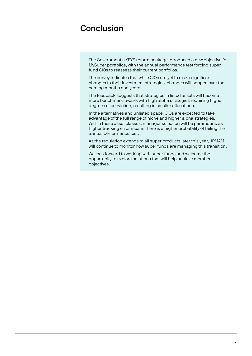# Conclusion

The Government's YFYS reform package introduced a new objective for MySuper portfolios, with the annual performance test forcing super fund CIOs to reassess their current portfolios.

The survey indicates that while CIOs are yet to make significant changes to their investment strategies, changes will happen over the coming months and years.

The feedback suggests that strategies in listed assets will become more benchmark-aware, with high alpha strategies requiring higher degrees of conviction, resulting in smaller allocations.

In the alternatives and unlisted space, CIOs are expected to take advantage of the full range of niche and higher alpha strategies. Within these asset classes, manager selection will be paramount, as higher tracking error means there is a higher probability of failing the annual performance test.

As the regulation extends to all super products later this year, JPMAM will continue to monitor how super funds are managing this transition.

We look forward to working with super funds and welcome the opportunity to explore solutions that will help achieve member objectives.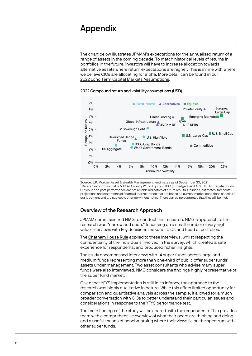### Appendix

The chart below illustrates JPMAM's expectations for the annualised return of a range of assets in the coming decade. To match historical levels of returns in portfolios in the future, investors will have to increase allocation towards alternative assets where return expectations are higher. This is in line with where we believe CIOs are allocating for alpha. More detail can be found in our [2022 Long Term Capital Markets Assumptions.](https://am.jpmorgan.com/gb/en/asset-management/adv/insights/portfolio-insights/ltcma/)

#### 2022 Compound return and volatility assumptions (USD)



Source: J.P. Morgan Asset & Wealth Management; estimates as of September 30, 2021.  $1$  Refers to a portfolio that is 60% All Country World Equity in USD (unhedged) and 40% U.S. Aggregate bonds. Outlooks and past performance are not reliable indicators of future results. Opinions, estimates, forecasts, projections and statements of financial market trends that are based on current market conditions constitute our judgment and are subject to change without notice. There can be no guarantee that they will be met.

### Overview of the Research Approach

JPMAM commissioned NMG to conduct this research. NMG's approach to the research was "narrow and deep," focussing on a small number of very high value interviews with key decisions makers - CIOs and head of portfolios.

The Chatham House Rule applied to these interviews, whilst respecting the confidentiality of the individuals involved in the survey, which created a safe experience for respondents, and produced richer insights.

The study encompassed interviews with 14 super funds across large and medium funds representing more than one-third of public offer super funds' assets under management. Two asset consultants who advise many super funds were also interviewed. NMG considers the findings highly representative of the super fund market.

Given that YFYS implementation is still in its infancy, the approach to the research was highly qualitative in nature. While this offers limited opportunity for comparison and quantitative analysis across the sample, it allowed for a much broader conversation with CIOs to better understand their particular issues and considerations in response to the YFYS performance test.

The main findings of the study will be shared with the respondents. This provides them with a comprehensive overview of what their peers are thinking and doing, and a useful means of benchmarking where their views lie on the spectrum with other super funds.